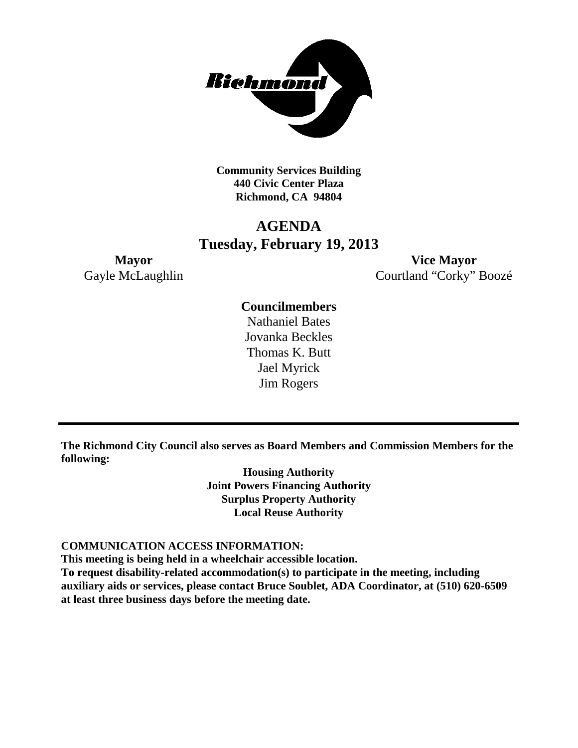

**Community Services Building 440 Civic Center Plaza Richmond, CA 94804**

# **AGENDA Tuesday, February 19, 2013**

**Mayor Vice Mayor** Gayle McLaughlin Courtland "Corky" Boozé

### **Councilmembers**

Nathaniel Bates Jovanka Beckles Thomas K. Butt Jael Myrick Jim Rogers

**The Richmond City Council also serves as Board Members and Commission Members for the following:**

> **Housing Authority Joint Powers Financing Authority Surplus Property Authority Local Reuse Authority**

### **COMMUNICATION ACCESS INFORMATION:**

**This meeting is being held in a wheelchair accessible location.**

**To request disability-related accommodation(s) to participate in the meeting, including auxiliary aids or services, please contact Bruce Soublet, ADA Coordinator, at (510) 620-6509 at least three business days before the meeting date.**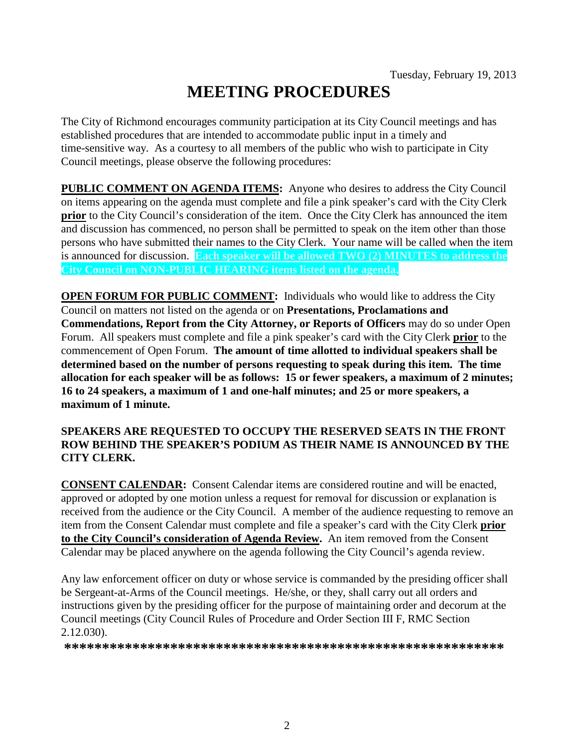# **MEETING PROCEDURES**

The City of Richmond encourages community participation at its City Council meetings and has established procedures that are intended to accommodate public input in a timely and time-sensitive way. As a courtesy to all members of the public who wish to participate in City Council meetings, please observe the following procedures:

**PUBLIC COMMENT ON AGENDA ITEMS:** Anyone who desires to address the City Council on items appearing on the agenda must complete and file a pink speaker's card with the City Clerk **prior** to the City Council's consideration of the item. Once the City Clerk has announced the item and discussion has commenced, no person shall be permitted to speak on the item other than those persons who have submitted their names to the City Clerk. Your name will be called when the item is announced for discussion. **Each speaker will be allowed TWO (2) MINUTES to address the City Council on NON-PUBLIC HEARING items listed on the agenda.**

**OPEN FORUM FOR PUBLIC COMMENT:** Individuals who would like to address the City Council on matters not listed on the agenda or on **Presentations, Proclamations and Commendations, Report from the City Attorney, or Reports of Officers** may do so under Open Forum. All speakers must complete and file a pink speaker's card with the City Clerk **prior** to the commencement of Open Forum. **The amount of time allotted to individual speakers shall be determined based on the number of persons requesting to speak during this item. The time allocation for each speaker will be as follows: 15 or fewer speakers, a maximum of 2 minutes; 16 to 24 speakers, a maximum of 1 and one-half minutes; and 25 or more speakers, a maximum of 1 minute.**

### **SPEAKERS ARE REQUESTED TO OCCUPY THE RESERVED SEATS IN THE FRONT ROW BEHIND THE SPEAKER'S PODIUM AS THEIR NAME IS ANNOUNCED BY THE CITY CLERK.**

**CONSENT CALENDAR:** Consent Calendar items are considered routine and will be enacted, approved or adopted by one motion unless a request for removal for discussion or explanation is received from the audience or the City Council. A member of the audience requesting to remove an item from the Consent Calendar must complete and file a speaker's card with the City Clerk **prior to the City Council's consideration of Agenda Review.** An item removed from the Consent Calendar may be placed anywhere on the agenda following the City Council's agenda review.

Any law enforcement officer on duty or whose service is commanded by the presiding officer shall be Sergeant-at-Arms of the Council meetings. He/she, or they, shall carry out all orders and instructions given by the presiding officer for the purpose of maintaining order and decorum at the Council meetings (City Council Rules of Procedure and Order Section III F, RMC Section 2.12.030).

**\*\*\*\*\*\*\*\*\*\*\*\*\*\*\*\*\*\*\*\*\*\*\*\*\*\*\*\*\*\*\*\*\*\*\*\*\*\*\*\*\*\*\*\*\*\*\*\*\*\*\*\*\*\*\*\*\*\***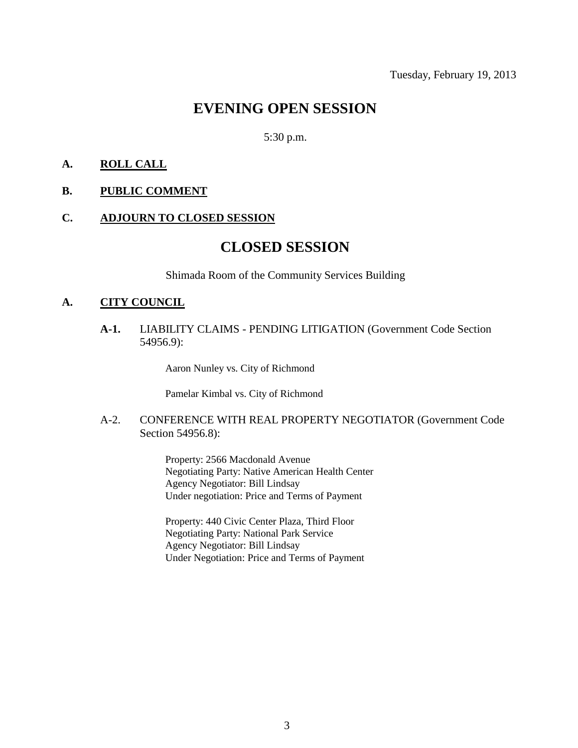# **EVENING OPEN SESSION**

5:30 p.m.

### **A. ROLL CALL**

#### **B. PUBLIC COMMENT**

### **C. ADJOURN TO CLOSED SESSION**

# **CLOSED SESSION**

Shimada Room of the Community Services Building

#### **A. CITY COUNCIL**

**A-1.** LIABILITY CLAIMS - PENDING LITIGATION (Government Code Section 54956.9):

Aaron Nunley vs. City of Richmond

Pamelar Kimbal vs. City of Richmond

### A-2. CONFERENCE WITH REAL PROPERTY NEGOTIATOR (Government Code Section 54956.8):

Property: 2566 Macdonald Avenue Negotiating Party: Native American Health Center Agency Negotiator: Bill Lindsay Under negotiation: Price and Terms of Payment

Property: 440 Civic Center Plaza, Third Floor Negotiating Party: National Park Service Agency Negotiator: Bill Lindsay Under Negotiation: Price and Terms of Payment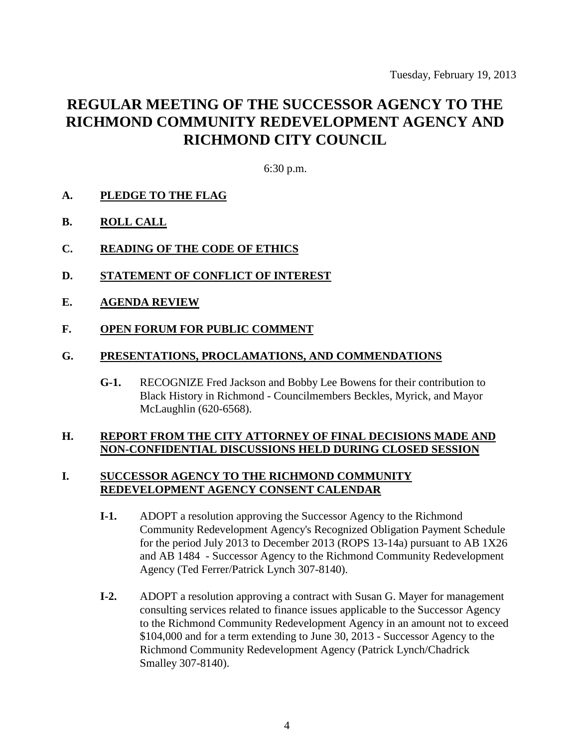# **REGULAR MEETING OF THE SUCCESSOR AGENCY TO THE RICHMOND COMMUNITY REDEVELOPMENT AGENCY AND RICHMOND CITY COUNCIL**

6:30 p.m.

- **A. PLEDGE TO THE FLAG**
- **B. ROLL CALL**
- **C. READING OF THE CODE OF ETHICS**
- **D. STATEMENT OF CONFLICT OF INTEREST**
- **E. AGENDA REVIEW**
- **F. OPEN FORUM FOR PUBLIC COMMENT**

### **G. PRESENTATIONS, PROCLAMATIONS, AND COMMENDATIONS**

**G-1.** RECOGNIZE Fred Jackson and Bobby Lee Bowens for their contribution to Black History in Richmond - Councilmembers Beckles, Myrick, and Mayor McLaughlin (620-6568).

### **H. REPORT FROM THE CITY ATTORNEY OF FINAL DECISIONS MADE AND NON-CONFIDENTIAL DISCUSSIONS HELD DURING CLOSED SESSION**

### **I. SUCCESSOR AGENCY TO THE RICHMOND COMMUNITY REDEVELOPMENT AGENCY CONSENT CALENDAR**

- **I-1.** ADOPT a resolution approving the Successor Agency to the Richmond Community Redevelopment Agency's Recognized Obligation Payment Schedule for the period July 2013 to December 2013 (ROPS 13-14a) pursuant to AB 1X26 and AB 1484 - Successor Agency to the Richmond Community Redevelopment Agency (Ted Ferrer/Patrick Lynch 307-8140).
- **I-2.** ADOPT a resolution approving a contract with Susan G. Mayer for management consulting services related to finance issues applicable to the Successor Agency to the Richmond Community Redevelopment Agency in an amount not to exceed \$104,000 and for a term extending to June 30, 2013 - Successor Agency to the Richmond Community Redevelopment Agency (Patrick Lynch/Chadrick Smalley 307-8140).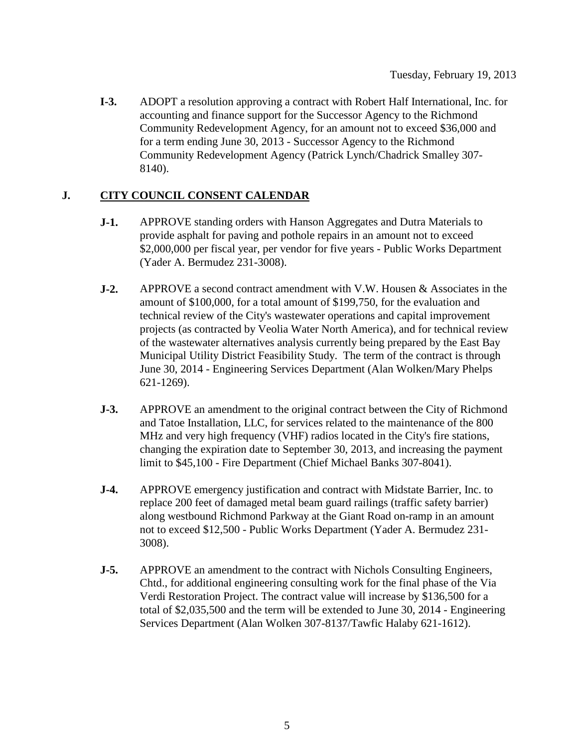**I-3.** ADOPT a resolution approving a contract with Robert Half International, Inc. for accounting and finance support for the Successor Agency to the Richmond Community Redevelopment Agency, for an amount not to exceed \$36,000 and for a term ending June 30, 2013 - Successor Agency to the Richmond Community Redevelopment Agency (Patrick Lynch/Chadrick Smalley 307- 8140).

## **J. CITY COUNCIL CONSENT CALENDAR**

- **J-1.** APPROVE standing orders with Hanson Aggregates and Dutra Materials to provide asphalt for paving and pothole repairs in an amount not to exceed \$2,000,000 per fiscal year, per vendor for five years - Public Works Department (Yader A. Bermudez 231-3008).
- **J-2.** APPROVE a second contract amendment with V.W. Housen & Associates in the amount of \$100,000, for a total amount of \$199,750, for the evaluation and technical review of the City's wastewater operations and capital improvement projects (as contracted by Veolia Water North America), and for technical review of the wastewater alternatives analysis currently being prepared by the East Bay Municipal Utility District Feasibility Study. The term of the contract is through June 30, 2014 - Engineering Services Department (Alan Wolken/Mary Phelps 621-1269).
- **J-3.** APPROVE an amendment to the original contract between the City of Richmond and Tatoe Installation, LLC, for services related to the maintenance of the 800 MHz and very high frequency (VHF) radios located in the City's fire stations, changing the expiration date to September 30, 2013, and increasing the payment limit to \$45,100 - Fire Department (Chief Michael Banks 307-8041).
- **J-4.** APPROVE emergency justification and contract with Midstate Barrier, Inc. to replace 200 feet of damaged metal beam guard railings (traffic safety barrier) along westbound Richmond Parkway at the Giant Road on-ramp in an amount not to exceed \$12,500 - Public Works Department (Yader A. Bermudez 231- 3008).
- **J-5.** APPROVE an amendment to the contract with Nichols Consulting Engineers, Chtd., for additional engineering consulting work for the final phase of the Via Verdi Restoration Project. The contract value will increase by \$136,500 for a total of \$2,035,500 and the term will be extended to June 30, 2014 - Engineering Services Department (Alan Wolken 307-8137/Tawfic Halaby 621-1612).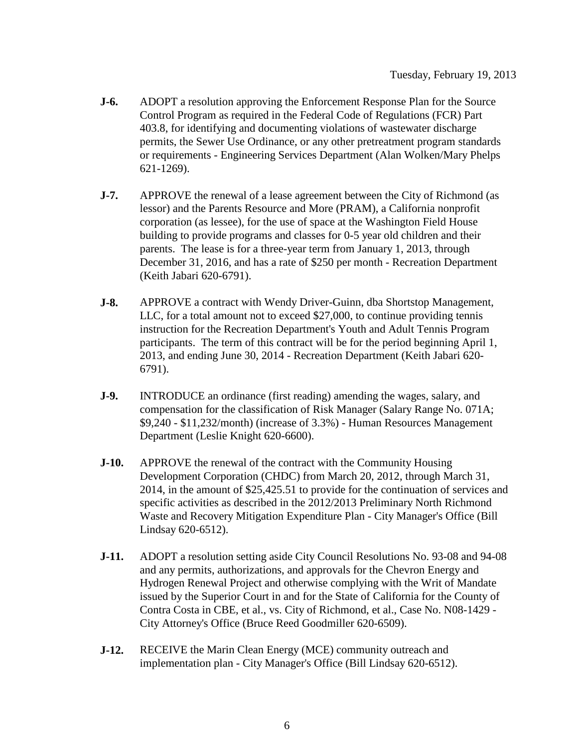- **J-6.** ADOPT a resolution approving the Enforcement Response Plan for the Source Control Program as required in the Federal Code of Regulations (FCR) Part 403.8, for identifying and documenting violations of wastewater discharge permits, the Sewer Use Ordinance, or any other pretreatment program standards or requirements - Engineering Services Department (Alan Wolken/Mary Phelps 621-1269).
- **J-7.** APPROVE the renewal of a lease agreement between the City of Richmond (as lessor) and the Parents Resource and More (PRAM), a California nonprofit corporation (as lessee), for the use of space at the Washington Field House building to provide programs and classes for 0-5 year old children and their parents. The lease is for a three-year term from January 1, 2013, through December 31, 2016, and has a rate of \$250 per month - Recreation Department (Keith Jabari 620-6791).
- **J-8.** APPROVE a contract with Wendy Driver-Guinn, dba Shortstop Management, LLC, for a total amount not to exceed \$27,000, to continue providing tennis instruction for the Recreation Department's Youth and Adult Tennis Program participants. The term of this contract will be for the period beginning April 1, 2013, and ending June 30, 2014 - Recreation Department (Keith Jabari 620- 6791).
- **J-9.** INTRODUCE an ordinance (first reading) amending the wages, salary, and compensation for the classification of Risk Manager (Salary Range No. 071A; \$9,240 - \$11,232/month) (increase of 3.3%) - Human Resources Management Department (Leslie Knight 620-6600).
- **J-10.** APPROVE the renewal of the contract with the Community Housing Development Corporation (CHDC) from March 20, 2012, through March 31, 2014, in the amount of \$25,425.51 to provide for the continuation of services and specific activities as described in the 2012/2013 Preliminary North Richmond Waste and Recovery Mitigation Expenditure Plan - City Manager's Office (Bill Lindsay 620-6512).
- **J-11.** ADOPT a resolution setting aside City Council Resolutions No. 93-08 and 94-08 and any permits, authorizations, and approvals for the Chevron Energy and Hydrogen Renewal Project and otherwise complying with the Writ of Mandate issued by the Superior Court in and for the State of California for the County of Contra Costa in CBE, et al., vs. City of Richmond, et al., Case No. N08-1429 - City Attorney's Office (Bruce Reed Goodmiller 620-6509).
- **J-12.** RECEIVE the Marin Clean Energy (MCE) community outreach and implementation plan - City Manager's Office (Bill Lindsay 620-6512).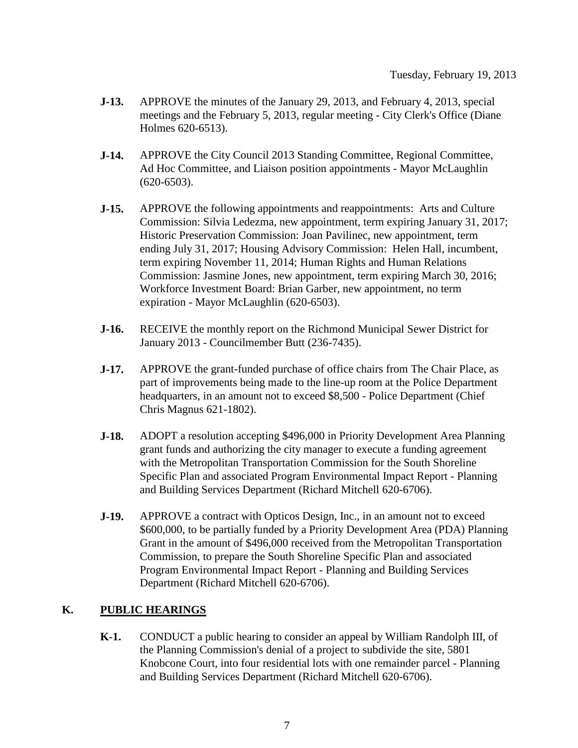- **J-13.** APPROVE the minutes of the January 29, 2013, and February 4, 2013, special meetings and the February 5, 2013, regular meeting - City Clerk's Office (Diane Holmes 620-6513).
- **J-14.** APPROVE the City Council 2013 Standing Committee, Regional Committee, Ad Hoc Committee, and Liaison position appointments - Mayor McLaughlin (620-6503).
- **J-15.** APPROVE the following appointments and reappointments: Arts and Culture Commission: Silvia Ledezma, new appointment, term expiring January 31, 2017; Historic Preservation Commission: Joan Pavilinec, new appointment, term ending July 31, 2017; Housing Advisory Commission: Helen Hall, incumbent, term expiring November 11, 2014; Human Rights and Human Relations Commission: Jasmine Jones, new appointment, term expiring March 30, 2016; Workforce Investment Board: Brian Garber, new appointment, no term expiration - Mayor McLaughlin (620-6503).
- **J-16.** RECEIVE the monthly report on the Richmond Municipal Sewer District for January 2013 - Councilmember Butt (236-7435).
- **J-17.** APPROVE the grant-funded purchase of office chairs from The Chair Place, as part of improvements being made to the line-up room at the Police Department headquarters, in an amount not to exceed \$8,500 - Police Department (Chief Chris Magnus 621-1802).
- **J-18.** ADOPT a resolution accepting \$496,000 in Priority Development Area Planning grant funds and authorizing the city manager to execute a funding agreement with the Metropolitan Transportation Commission for the South Shoreline Specific Plan and associated Program Environmental Impact Report - Planning and Building Services Department (Richard Mitchell 620-6706).
- **J-19.** APPROVE a contract with Opticos Design, Inc., in an amount not to exceed \$600,000, to be partially funded by a Priority Development Area (PDA) Planning Grant in the amount of \$496,000 received from the Metropolitan Transportation Commission, to prepare the South Shoreline Specific Plan and associated Program Environmental Impact Report - Planning and Building Services Department (Richard Mitchell 620-6706).

## **K. PUBLIC HEARINGS**

**K-1.** CONDUCT a public hearing to consider an appeal by William Randolph III, of the Planning Commission's denial of a project to subdivide the site, 5801 Knobcone Court, into four residential lots with one remainder parcel - Planning and Building Services Department (Richard Mitchell 620-6706).